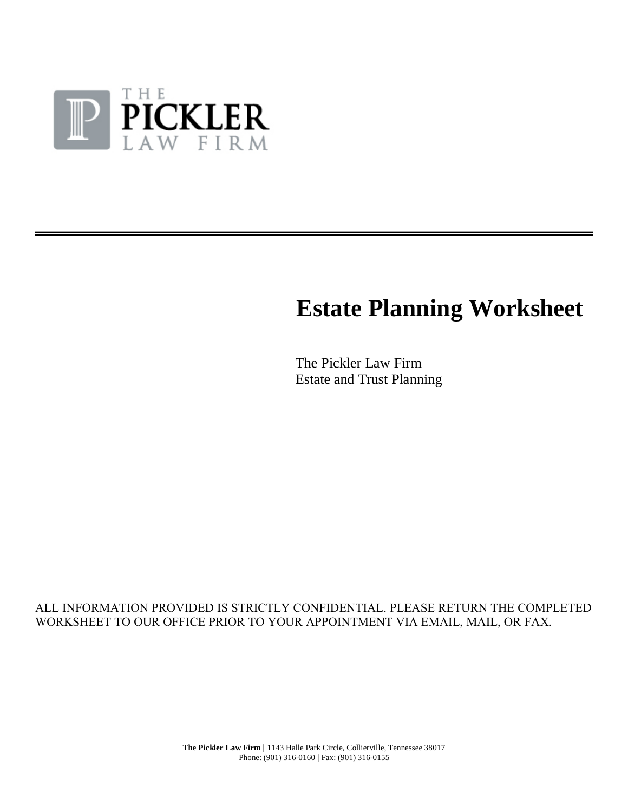

# **Estate Planning Worksheet**

The Pickler Law Firm Estate and Trust Planning

# ALL INFORMATION PROVIDED IS STRICTLY CONFIDENTIAL. PLEASE RETURN THE COMPLETED WORKSHEET TO OUR OFFICE PRIOR TO YOUR APPOINTMENT VIA EMAIL, MAIL, OR FAX.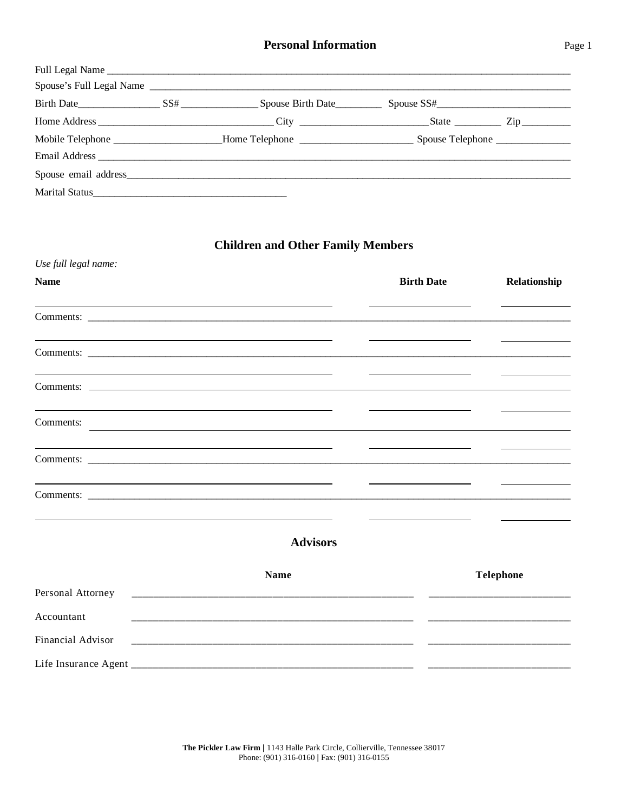|  | Full Legal Name                                                                                                   |  |
|--|-------------------------------------------------------------------------------------------------------------------|--|
|  |                                                                                                                   |  |
|  |                                                                                                                   |  |
|  |                                                                                                                   |  |
|  | Mobile Telephone _______________________Home Telephone __________________________Spouse Telephone _______________ |  |
|  |                                                                                                                   |  |
|  |                                                                                                                   |  |
|  |                                                                                                                   |  |

# **Children and Other Family Members**

| Use full legal name: |                                                                                                                      |                   |                  |
|----------------------|----------------------------------------------------------------------------------------------------------------------|-------------------|------------------|
| <b>Name</b>          |                                                                                                                      | <b>Birth Date</b> | Relationship     |
|                      |                                                                                                                      |                   |                  |
|                      |                                                                                                                      |                   |                  |
|                      |                                                                                                                      |                   |                  |
| Comments:            |                                                                                                                      |                   |                  |
|                      |                                                                                                                      |                   |                  |
|                      |                                                                                                                      |                   |                  |
|                      | <b>Advisors</b>                                                                                                      |                   |                  |
|                      | <b>Name</b>                                                                                                          |                   | <b>Telephone</b> |
| Personal Attorney    |                                                                                                                      |                   |                  |
| Accountant           |                                                                                                                      |                   |                  |
| Financial Advisor    | <u> 2000 - 2000 - 2000 - 2000 - 2000 - 2000 - 2000 - 2000 - 2000 - 2000 - 2000 - 2000 - 2000 - 2000 - 2000 - 200</u> |                   |                  |
|                      |                                                                                                                      |                   |                  |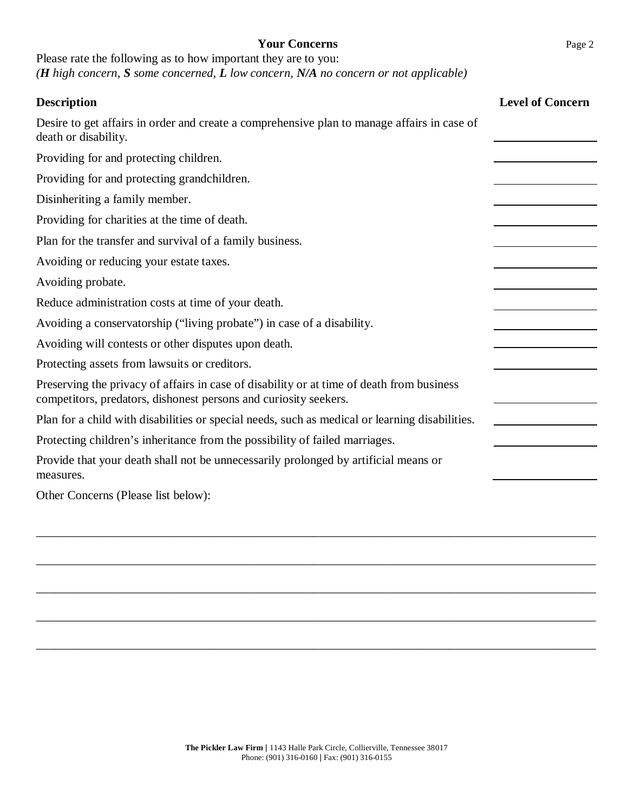## **Your Concerns** Page 2

Please rate the following as to how important they are to you: *(H high concern, S some concerned, L low concern, N/A no concern or not applicable)*

| <b>Description</b>                                                                                                                                            | <b>Level of Concern</b> |
|---------------------------------------------------------------------------------------------------------------------------------------------------------------|-------------------------|
| Desire to get affairs in order and create a comprehensive plan to manage affairs in case of<br>death or disability.                                           |                         |
| Providing for and protecting children.                                                                                                                        |                         |
| Providing for and protecting grandchildren.                                                                                                                   |                         |
| Disinheriting a family member.                                                                                                                                |                         |
| Providing for charities at the time of death.                                                                                                                 |                         |
| Plan for the transfer and survival of a family business.                                                                                                      |                         |
| Avoiding or reducing your estate taxes.                                                                                                                       |                         |
| Avoiding probate.                                                                                                                                             |                         |
| Reduce administration costs at time of your death.                                                                                                            |                         |
| Avoiding a conservatorship ("living probate") in case of a disability.                                                                                        |                         |
| Avoiding will contests or other disputes upon death.                                                                                                          |                         |
| Protecting assets from lawsuits or creditors.                                                                                                                 |                         |
| Preserving the privacy of affairs in case of disability or at time of death from business<br>competitors, predators, dishonest persons and curiosity seekers. |                         |
| Plan for a child with disabilities or special needs, such as medical or learning disabilities.                                                                |                         |
| Protecting children's inheritance from the possibility of failed marriages.                                                                                   |                         |
| Provide that your death shall not be unnecessarily prolonged by artificial means or<br>measures.                                                              |                         |
| Other Concerns (Please list below):                                                                                                                           |                         |
|                                                                                                                                                               |                         |
|                                                                                                                                                               |                         |
|                                                                                                                                                               |                         |
|                                                                                                                                                               |                         |
|                                                                                                                                                               |                         |

\_\_\_\_\_\_\_\_\_\_\_\_\_\_\_\_\_\_\_\_\_\_\_\_\_\_\_\_\_\_\_\_\_\_\_\_\_\_\_\_\_\_\_\_\_\_\_\_\_\_\_\_\_\_\_\_\_\_\_\_\_\_\_\_\_\_\_\_\_\_\_\_\_\_\_\_\_\_\_\_\_\_\_\_\_\_\_\_\_\_\_

\_\_\_\_\_\_\_\_\_\_\_\_\_\_\_\_\_\_\_\_\_\_\_\_\_\_\_\_\_\_\_\_\_\_\_\_\_\_\_\_\_\_\_\_\_\_\_\_\_\_\_\_\_\_\_\_\_\_\_\_\_\_\_\_\_\_\_\_\_\_\_\_\_\_\_\_\_\_\_\_\_\_\_\_\_\_\_\_\_\_\_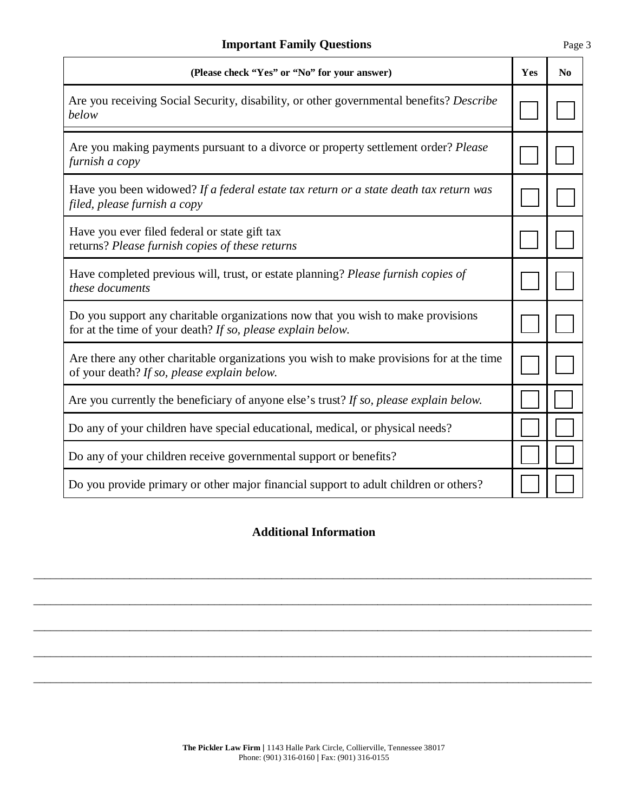| (Please check "Yes" or "No" for your answer)                                                                                                    | Yes | $\mathbf{N}\mathbf{0}$ |
|-------------------------------------------------------------------------------------------------------------------------------------------------|-----|------------------------|
| Are you receiving Social Security, disability, or other governmental benefits? Describe<br>below                                                |     |                        |
| Are you making payments pursuant to a divorce or property settlement order? Please<br>furnish a copy                                            |     |                        |
| Have you been widowed? If a federal estate tax return or a state death tax return was<br>filed, please furnish a copy                           |     |                        |
| Have you ever filed federal or state gift tax<br>returns? Please furnish copies of these returns                                                |     |                        |
| Have completed previous will, trust, or estate planning? Please furnish copies of<br>these documents                                            |     |                        |
| Do you support any charitable organizations now that you wish to make provisions<br>for at the time of your death? If so, please explain below. |     |                        |
| Are there any other charitable organizations you wish to make provisions for at the time<br>of your death? If so, please explain below.         |     |                        |
| Are you currently the beneficiary of anyone else's trust? If so, please explain below.                                                          |     |                        |
| Do any of your children have special educational, medical, or physical needs?                                                                   |     |                        |
| Do any of your children receive governmental support or benefits?                                                                               |     |                        |
| Do you provide primary or other major financial support to adult children or others?                                                            |     |                        |

# **Additional Information**

\_\_\_\_\_\_\_\_\_\_\_\_\_\_\_\_\_\_\_\_\_\_\_\_\_\_\_\_\_\_\_\_\_\_\_\_\_\_\_\_\_\_\_\_\_\_\_\_\_\_\_\_\_\_\_\_\_\_\_\_\_\_\_\_\_\_\_\_\_\_\_\_\_\_\_\_\_\_\_\_\_\_\_\_\_\_\_\_\_\_\_\_\_\_\_\_\_\_\_

\_\_\_\_\_\_\_\_\_\_\_\_\_\_\_\_\_\_\_\_\_\_\_\_\_\_\_\_\_\_\_\_\_\_\_\_\_\_\_\_\_\_\_\_\_\_\_\_\_\_\_\_\_\_\_\_\_\_\_\_\_\_\_\_\_\_\_\_\_\_\_\_\_\_\_\_\_\_\_\_\_\_\_\_\_\_\_\_\_\_\_\_\_\_\_\_\_\_\_

\_\_\_\_\_\_\_\_\_\_\_\_\_\_\_\_\_\_\_\_\_\_\_\_\_\_\_\_\_\_\_\_\_\_\_\_\_\_\_\_\_\_\_\_\_\_\_\_\_\_\_\_\_\_\_\_\_\_\_\_\_\_\_\_\_\_\_\_\_\_\_\_\_\_\_\_\_\_\_\_\_\_\_\_\_\_\_\_\_\_\_\_\_\_\_\_\_\_\_

\_\_\_\_\_\_\_\_\_\_\_\_\_\_\_\_\_\_\_\_\_\_\_\_\_\_\_\_\_\_\_\_\_\_\_\_\_\_\_\_\_\_\_\_\_\_\_\_\_\_\_\_\_\_\_\_\_\_\_\_\_\_\_\_\_\_\_\_\_\_\_\_\_\_\_\_\_\_\_\_\_\_\_\_\_\_\_\_\_\_\_\_\_\_\_\_\_\_\_

\_\_\_\_\_\_\_\_\_\_\_\_\_\_\_\_\_\_\_\_\_\_\_\_\_\_\_\_\_\_\_\_\_\_\_\_\_\_\_\_\_\_\_\_\_\_\_\_\_\_\_\_\_\_\_\_\_\_\_\_\_\_\_\_\_\_\_\_\_\_\_\_\_\_\_\_\_\_\_\_\_\_\_\_\_\_\_\_\_\_\_\_\_\_\_\_\_\_\_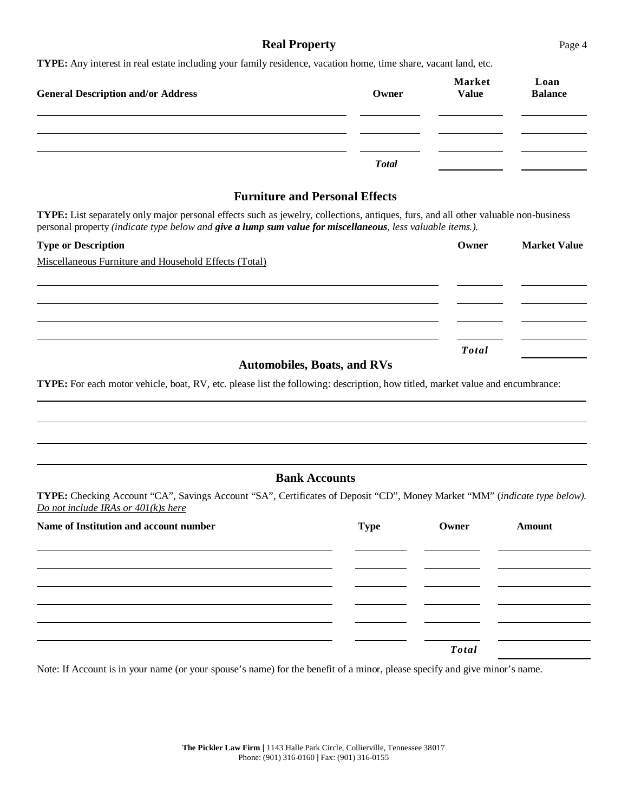## **Real Property** Page 4

**TYPE:** Any interest in real estate including your family residence, vacation home, time share, vacant land, etc.

| <b>General Description and/or Address</b> | Owner        | <b>Market</b><br><b>Value</b> | Loan<br><b>Balance</b> |
|-------------------------------------------|--------------|-------------------------------|------------------------|
|                                           |              |                               |                        |
|                                           | <b>Total</b> |                               |                        |

## **Furniture and Personal Effects**

**TYPE:** List separately only major personal effects such as jewelry, collections, antiques, furs, and all other valuable non-business personal property *(indicate type below and give a lump sum value for miscellaneous, less valuable items.).*

| <b>Type or Description</b>                                                                                                                                                                                                                                                                       | Owner        | <b>Market Value</b> |
|--------------------------------------------------------------------------------------------------------------------------------------------------------------------------------------------------------------------------------------------------------------------------------------------------|--------------|---------------------|
| Miscellaneous Furniture and Household Effects (Total)                                                                                                                                                                                                                                            |              |                     |
|                                                                                                                                                                                                                                                                                                  |              |                     |
|                                                                                                                                                                                                                                                                                                  |              |                     |
|                                                                                                                                                                                                                                                                                                  |              |                     |
|                                                                                                                                                                                                                                                                                                  |              |                     |
|                                                                                                                                                                                                                                                                                                  | <b>Total</b> |                     |
| $\mathbf{A}$ and $\mathbf{B}$ and $\mathbf{B}$ and $\mathbf{B}$ and $\mathbf{B}$ and $\mathbf{B}$ and $\mathbf{B}$ and $\mathbf{B}$ and $\mathbf{B}$ and $\mathbf{B}$ and $\mathbf{B}$ and $\mathbf{B}$ and $\mathbf{B}$ and $\mathbf{B}$ and $\mathbf{B}$ and $\mathbf{B}$ and $\mathbf{B}$ and |              |                     |

**Automobiles, Boats, and RVs**

**TYPE:** For each motor vehicle, boat, RV, etc. please list the following: description, how titled, market value and encumbrance:

### **Bank Accounts**

**TYPE:** Checking Account "CA", Savings Account "SA", Certificates of Deposit "CD", Money Market "MM" (*indicate type below). Do not include IRAs or 401(k)s here*

| Name of Institution and account number | <b>Type</b> | Owner        | Amount |
|----------------------------------------|-------------|--------------|--------|
|                                        |             |              |        |
|                                        |             |              |        |
|                                        |             |              |        |
|                                        |             |              |        |
|                                        |             |              |        |
|                                        |             | <b>Total</b> |        |

Note: If Account is in your name (or your spouse's name) for the benefit of a minor, please specify and give minor's name.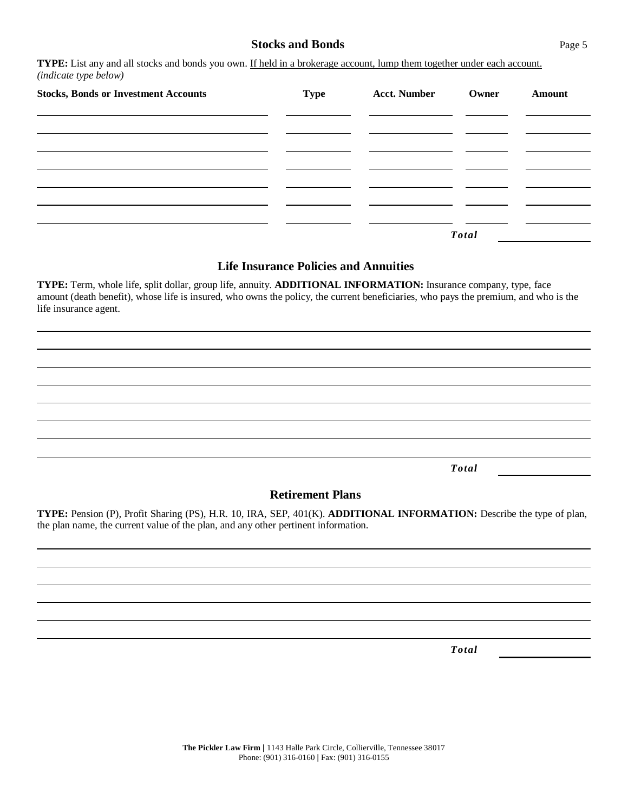## **Stocks and Bonds** Page 5

**TYPE:** List any and all stocks and bonds you own. If held in a brokerage account, lump them together under each account. *(indicate type below)*

| <b>Stocks, Bonds or Investment Accounts</b> | <b>Type</b> | <b>Acct. Number</b> | Owner | <b>Amount</b> |
|---------------------------------------------|-------------|---------------------|-------|---------------|
|                                             |             |                     |       |               |
|                                             |             |                     |       |               |
|                                             |             |                     |       |               |
|                                             |             |                     |       |               |
|                                             |             |                     | Total |               |

# **Life Insurance Policies and Annuities**

**TYPE:** Term, whole life, split dollar, group life, annuity. **ADDITIONAL INFORMATION:** Insurance company, type, face amount (death benefit), whose life is insured, who owns the policy, the current beneficiaries, who pays the premium, and who is the life insurance agent.

*Total*

#### **Retirement Plans**

**TYPE:** Pension (P), Profit Sharing (PS), H.R. 10, IRA, SEP, 401(K). **ADDITIONAL INFORMATION:** Describe the type of plan, the plan name, the current value of the plan, and any other pertinent information.

*Total*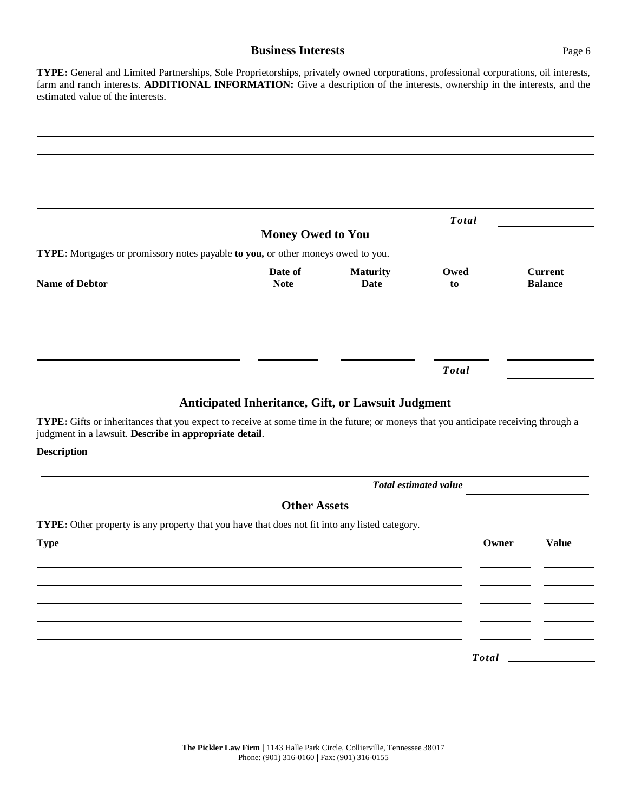## **Business Interests** Page 6

**TYPE:** General and Limited Partnerships, Sole Proprietorships, privately owned corporations, professional corporations, oil interests, farm and ranch interests. **ADDITIONAL INFORMATION:** Give a description of the interests, ownership in the interests, and the estimated value of the interests.

|                                                                                  |                          |                 | <b>Total</b> |                                  |
|----------------------------------------------------------------------------------|--------------------------|-----------------|--------------|----------------------------------|
|                                                                                  | <b>Money Owed to You</b> |                 |              |                                  |
| TYPE: Mortgages or promissory notes payable to you, or other moneys owed to you. |                          |                 |              |                                  |
| <b>Name of Debtor</b>                                                            | Date of                  | <b>Maturity</b> | Owed         | <b>Current</b><br><b>Balance</b> |
|                                                                                  | <b>Note</b>              | Date            | to           |                                  |
|                                                                                  |                          |                 |              |                                  |
|                                                                                  |                          |                 |              |                                  |
|                                                                                  |                          |                 |              |                                  |
|                                                                                  |                          |                 |              |                                  |
|                                                                                  |                          |                 | <b>Total</b> |                                  |

# **Anticipated Inheritance, Gift, or Lawsuit Judgment**

**TYPE:** Gifts or inheritances that you expect to receive at some time in the future; or moneys that you anticipate receiving through a judgment in a lawsuit. **Describe in appropriate detail**.

#### **Description**

| <b>Total estimated value</b>                                                                          |              |              |
|-------------------------------------------------------------------------------------------------------|--------------|--------------|
| <b>Other Assets</b>                                                                                   |              |              |
| <b>TYPE:</b> Other property is any property that you have that does not fit into any listed category. |              |              |
| <b>Type</b>                                                                                           | Owner        | <b>Value</b> |
|                                                                                                       |              |              |
|                                                                                                       |              |              |
|                                                                                                       |              |              |
|                                                                                                       |              |              |
|                                                                                                       |              |              |
|                                                                                                       | <b>Total</b> |              |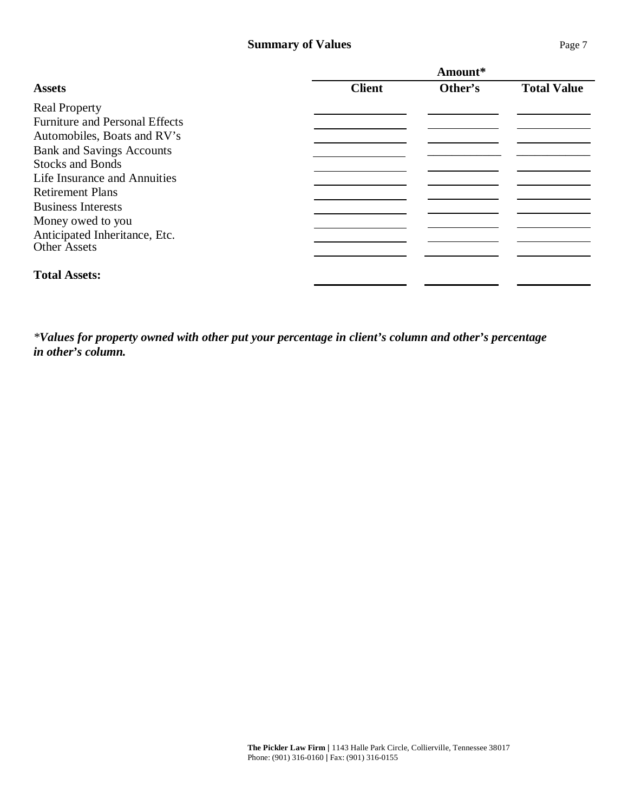## **Summary of Values** Page 7

|                                       | Amount*       |         |                    |
|---------------------------------------|---------------|---------|--------------------|
| <b>Assets</b>                         | <b>Client</b> | Other's | <b>Total Value</b> |
| <b>Real Property</b>                  |               |         |                    |
| <b>Furniture and Personal Effects</b> |               |         |                    |
| Automobiles, Boats and RV's           |               |         |                    |
| <b>Bank and Savings Accounts</b>      |               |         |                    |
| <b>Stocks and Bonds</b>               |               |         |                    |
| Life Insurance and Annuities          |               |         |                    |
| <b>Retirement Plans</b>               |               |         |                    |
| <b>Business Interests</b>             |               |         |                    |
| Money owed to you                     |               |         |                    |
| Anticipated Inheritance, Etc.         |               |         |                    |
| <b>Other Assets</b>                   |               |         |                    |
| <b>Total Assets:</b>                  |               |         |                    |

*\*Values for property owned with other put your percentage in client's column and other's percentage in other's column.*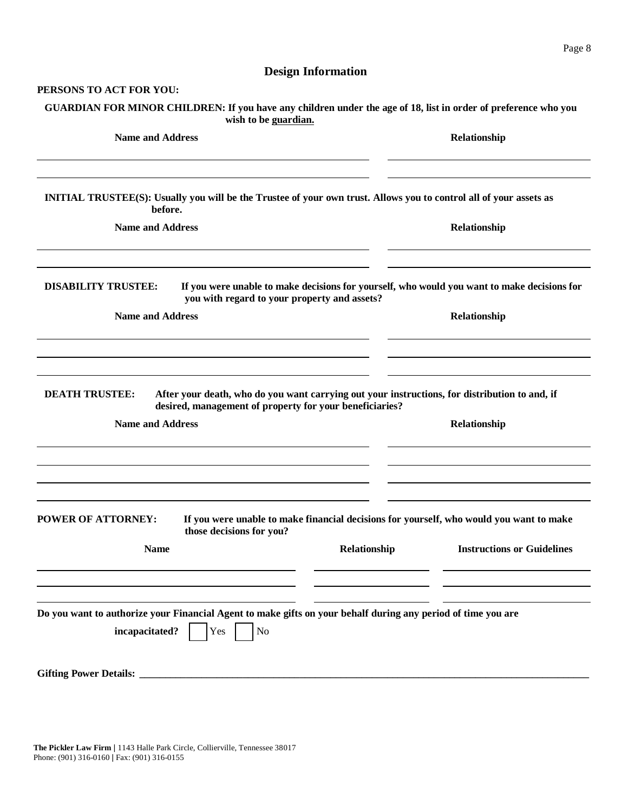# **Design Information**

#### **PERSONS TO ACT FOR YOU:**

| GUARDIAN FOR MINOR CHILDREN: If you have any children under the age of 18, list in order of preference who you<br>wish to be guardian.                  |                                                                                                                                              |
|---------------------------------------------------------------------------------------------------------------------------------------------------------|----------------------------------------------------------------------------------------------------------------------------------------------|
| <b>Name and Address</b>                                                                                                                                 | Relationship                                                                                                                                 |
| INITIAL TRUSTEE(S): Usually you will be the Trustee of your own trust. Allows you to control all of your assets as<br>before.                           |                                                                                                                                              |
| <b>Name and Address</b>                                                                                                                                 | Relationship                                                                                                                                 |
| <b>DISABILITY TRUSTEE:</b><br>you with regard to your property and assets?                                                                              | If you were unable to make decisions for yourself, who would you want to make decisions for                                                  |
| <b>Name and Address</b>                                                                                                                                 | Relationship                                                                                                                                 |
| <b>DEATH TRUSTEE:</b><br>desired, management of property for your beneficiaries?<br><b>Name and Address</b>                                             | After your death, who do you want carrying out your instructions, for distribution to and, if<br>Relationship                                |
| <b>POWER OF ATTORNEY:</b><br>those decisions for you?<br><b>Name</b>                                                                                    | If you were unable to make financial decisions for yourself, who would you want to make<br>Relationship<br><b>Instructions or Guidelines</b> |
| Do you want to authorize your Financial Agent to make gifts on your behalf during any period of time you are<br>incapacitated?<br>Yes<br>N <sub>o</sub> |                                                                                                                                              |
|                                                                                                                                                         |                                                                                                                                              |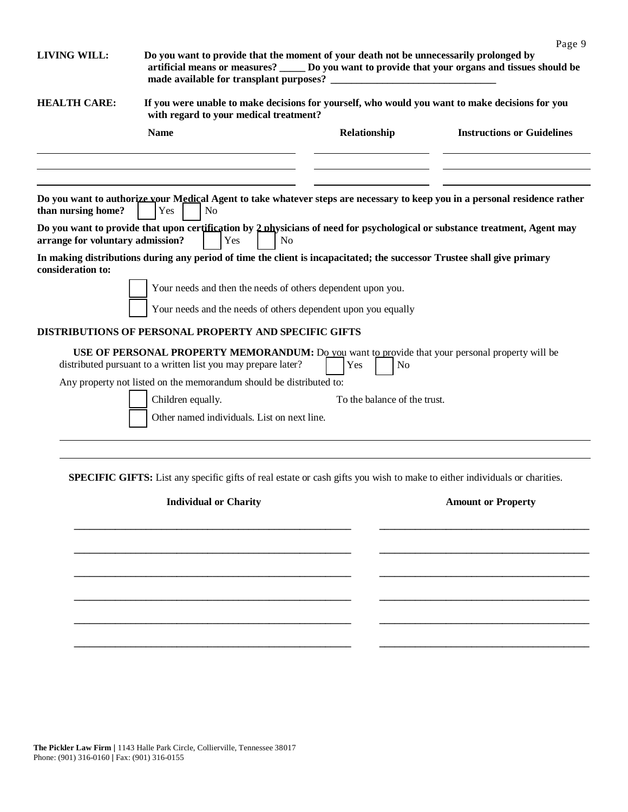| <b>LIVING WILL:</b>              | Do you want to provide that the moment of your death not be unnecessarily prolonged by<br>artificial means or measures? ______ Do you want to provide that your organs and tissues should be<br>made available for transplant purposes? __ |                              | Page 9                            |
|----------------------------------|--------------------------------------------------------------------------------------------------------------------------------------------------------------------------------------------------------------------------------------------|------------------------------|-----------------------------------|
| <b>HEALTH CARE:</b>              | If you were unable to make decisions for yourself, who would you want to make decisions for you<br>with regard to your medical treatment?                                                                                                  |                              |                                   |
|                                  | <b>Name</b>                                                                                                                                                                                                                                | Relationship                 | <b>Instructions or Guidelines</b> |
| than nursing home?               | Do you want to authorize your Medical Agent to take whatever steps are necessary to keep you in a personal residence rather<br>Yes<br>N <sub>o</sub>                                                                                       |                              |                                   |
| arrange for voluntary admission? | Do you want to provide that upon certification by 2 physicians of need for psychological or substance treatment, Agent may<br>Yes<br>N <sub>0</sub>                                                                                        |                              |                                   |
| consideration to:                | In making distributions during any period of time the client is incapacitated; the successor Trustee shall give primary                                                                                                                    |                              |                                   |
|                                  | Your needs and then the needs of others dependent upon you.                                                                                                                                                                                |                              |                                   |
|                                  | Your needs and the needs of others dependent upon you equally                                                                                                                                                                              |                              |                                   |
|                                  | <b>DISTRIBUTIONS OF PERSONAL PROPERTY AND SPECIFIC GIFTS</b>                                                                                                                                                                               |                              |                                   |
|                                  | USE OF PERSONAL PROPERTY MEMORANDUM: Do you want to provide that your personal property will be<br>distributed pursuant to a written list you may prepare later?                                                                           | Yes<br>N <sub>o</sub>        |                                   |
|                                  | Any property not listed on the memorandum should be distributed to:<br>Children equally.                                                                                                                                                   | To the balance of the trust. |                                   |
|                                  | Other named individuals. List on next line.                                                                                                                                                                                                |                              |                                   |
|                                  | <b>SPECIFIC GIFTS:</b> List any specific gifts of real estate or cash gifts you wish to make to either individuals or charities.                                                                                                           |                              |                                   |
|                                  | <b>Individual or Charity</b>                                                                                                                                                                                                               |                              | <b>Amount or Property</b>         |
|                                  |                                                                                                                                                                                                                                            |                              |                                   |
|                                  |                                                                                                                                                                                                                                            |                              |                                   |
|                                  |                                                                                                                                                                                                                                            |                              |                                   |

**\_\_\_\_\_\_\_\_\_\_\_\_\_\_\_\_\_\_\_\_\_\_\_\_\_\_\_\_\_\_\_\_\_\_\_\_\_\_\_\_\_\_\_\_\_\_\_\_\_\_\_\_\_\_ \_\_\_\_\_\_\_\_\_\_\_\_\_\_\_\_\_\_\_\_\_\_\_\_\_\_\_\_\_\_\_\_\_\_\_\_\_\_\_\_\_** 

**\_\_\_\_\_\_\_\_\_\_\_\_\_\_\_\_\_\_\_\_\_\_\_\_\_\_\_\_\_\_\_\_\_\_\_\_\_\_\_\_\_\_\_\_\_\_\_\_\_\_\_\_\_\_ \_\_\_\_\_\_\_\_\_\_\_\_\_\_\_\_\_\_\_\_\_\_\_\_\_\_\_\_\_\_\_\_\_\_\_\_\_\_\_\_\_**

**\_\_\_\_\_\_\_\_\_\_\_\_\_\_\_\_\_\_\_\_\_\_\_\_\_\_\_\_\_\_\_\_\_\_\_\_\_\_\_\_\_\_\_\_\_\_\_\_\_\_\_\_\_\_ \_\_\_\_\_\_\_\_\_\_\_\_\_\_\_\_\_\_\_\_\_\_\_\_\_\_\_\_\_\_\_\_\_\_\_\_\_\_\_\_\_**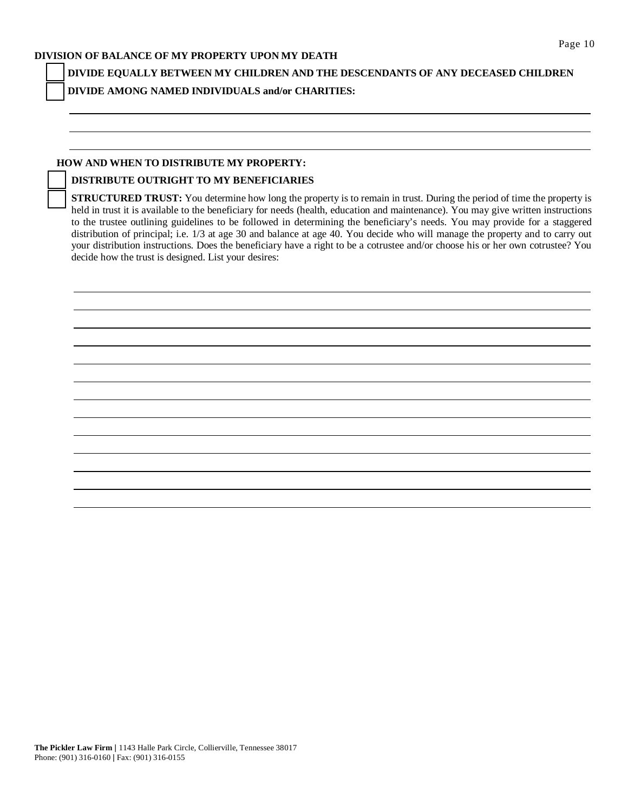#### **DIVISION OF BALANCE OF MY PROPERTY UPON MY DEATH**

**DIVIDE EQUALLY BETWEEN MY CHILDREN AND THE DESCENDANTS OF ANY DECEASED CHILDREN DIVIDE AMONG NAMED INDIVIDUALS and/or CHARITIES:**

#### **HOW AND WHEN TO DISTRIBUTE MY PROPERTY:**

#### **DISTRIBUTE OUTRIGHT TO MY BENEFICIARIES**

**STRUCTURED TRUST:** You determine how long the property is to remain in trust. During the period of time the property is held in trust it is available to the beneficiary for needs (health, education and maintenance). You may give written instructions to the trustee outlining guidelines to be followed in determining the beneficiary's needs. You may provide for a staggered distribution of principal; i.e. 1/3 at age 30 and balance at age 40. You decide who will manage the property and to carry out your distribution instructions. Does the beneficiary have a right to be a cotrustee and/or choose his or her own cotrustee? You decide how the trust is designed. List your desires:

**The Pickler Law Firm** | 1143 Halle Park Circle, Collierville, Tennessee 38017 Phone: (901) 316-0160 | Fax: (901) 316-0155